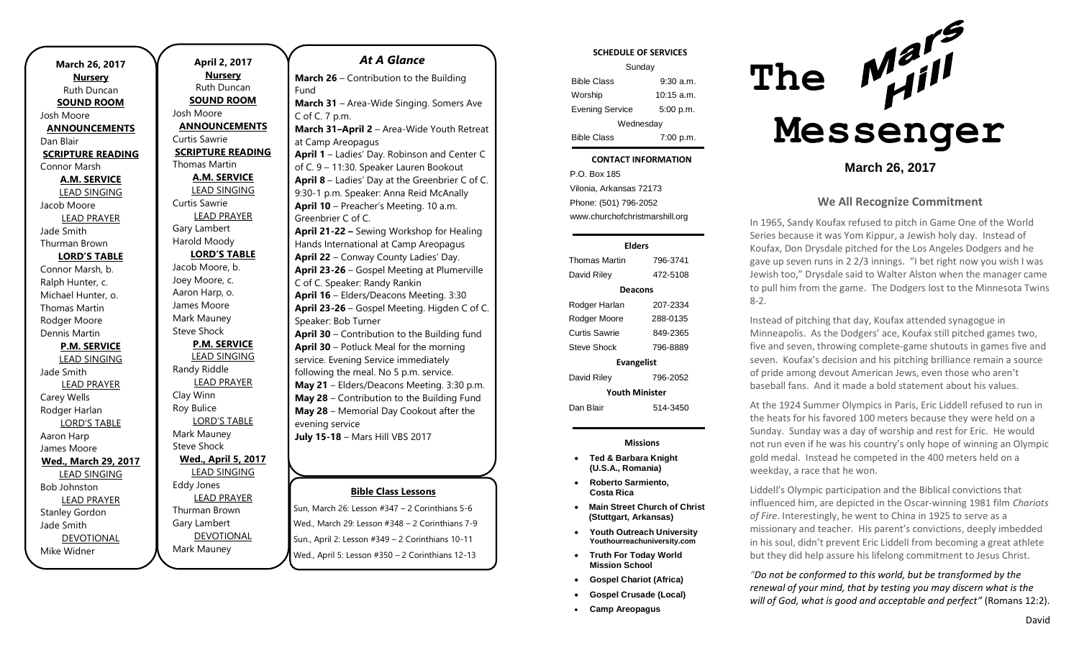| March 26, 2017              | April 2, 2017              |         |
|-----------------------------|----------------------------|---------|
| <b>Nursery</b>              | <b>Nursery</b>             | Mar     |
| Ruth Duncan                 | <b>Ruth Duncan</b>         | Fund    |
| <b>SOUND ROOM</b>           | <b>SOUND ROOM</b>          | Mar     |
| Josh Moore                  | Josh Moore                 | C of    |
| <b>ANNOUNCEMENTS</b>        | <b>ANNOUNCEMENTS</b>       | Mar     |
| Dan Blair                   | Curtis Sawrie              | at Ca   |
| <b>SCRIPTURE READING</b>    | <b>SCRIPTURE READING</b>   | Apri    |
| Connor Marsh                | Thomas Martin              | of C.   |
| <b>A.M. SERVICE</b>         | <b>A.M. SERVICE</b>        | Apri    |
| <b>LEAD SINGING</b>         | <b>LEAD SINGING</b>        | $9:30-$ |
| Jacob Moore                 | <b>Curtis Sawrie</b>       | Apri    |
| <b>LEAD PRAYER</b>          | <b>LEAD PRAYER</b>         | Gree    |
| Jade Smith                  | Gary Lambert               | Apri    |
| Thurman Brown               | Harold Moody               | Hand    |
| <b>LORD'S TABLE</b>         | <b>LORD'S TABLE</b>        | Apri    |
| Connor Marsh, b.            | Jacob Moore, b.            | Apri    |
| Ralph Hunter, c.            | Joey Moore, c.             | C of    |
| Michael Hunter, o.          | Aaron Harp, o.             | Apri    |
| <b>Thomas Martin</b>        | James Moore                | Apri    |
| Rodger Moore                | Mark Mauney                | Spea    |
| Dennis Martin               | <b>Steve Shock</b>         | Apri    |
| <b>P.M. SERVICE</b>         | <b>P.M. SERVICE</b>        | Apri    |
| <b>LEAD SINGING</b>         | <b>LEAD SINGING</b>        | servi   |
| Jade Smith                  | Randy Riddle               | follo   |
| <b>LEAD PRAYER</b>          | <b>LEAD PRAYER</b>         | May     |
| Carey Wells                 | Clay Winn                  | May     |
| Rodger Harlan               | Roy Bulice                 | May     |
| <b>LORD'S TABLE</b>         | <b>LORD'S TABLE</b>        | even    |
| Aaron Harp                  | Mark Mauney                | July    |
| James Moore                 | <b>Steve Shock</b>         |         |
| <b>Wed., March 29, 2017</b> | <b>Wed., April 5, 2017</b> |         |
| <b>LEAD SINGING</b>         | <b>LEAD SINGING</b>        |         |
| <b>Bob Johnston</b>         | <b>Eddy Jones</b>          |         |
| <b>LEAD PRAYER</b>          | <b>LEAD PRAYER</b>         |         |
| <b>Stanley Gordon</b>       | Thurman Brown              | Sun, M  |
| Jade Smith                  | Gary Lambert               | Wed.,   |
| <b>DEVOTIONAL</b>           | <b>DEVOTIONAL</b>          | Sun.,   |
| Mike Widner                 | Mark Mauney                | heW     |

| At A Glance                                     |  |  |
|-------------------------------------------------|--|--|
| March 26 - Contribution to the Building         |  |  |
| Fund                                            |  |  |
| March 31 - Area-Wide Singing. Somers Ave        |  |  |
| C of C. 7 p.m.                                  |  |  |
| March 31-April 2 - Area-Wide Youth Retreat      |  |  |
| at Camp Areopagus                               |  |  |
| April 1 - Ladies' Day. Robinson and Center C    |  |  |
| of C. 9 - 11:30. Speaker Lauren Bookout         |  |  |
| April 8 - Ladies' Day at the Greenbrier C of C. |  |  |
| 9:30-1 p.m. Speaker: Anna Reid McAnally         |  |  |
| April 10 - Preacher's Meeting. 10 a.m.          |  |  |
| Greenbrier C of C.                              |  |  |
| April 21-22 - Sewing Workshop for Healing       |  |  |
| Hands International at Camp Areopagus           |  |  |
| April 22 - Conway County Ladies' Day.           |  |  |
| April 23-26 - Gospel Meeting at Plumerville     |  |  |
| C of C. Speaker: Randy Rankin                   |  |  |
| April 16 - Elders/Deacons Meeting. 3:30         |  |  |
| April 23-26 - Gospel Meeting. Higden C of C.    |  |  |
| Speaker: Bob Turner                             |  |  |
| April 30 - Contribution to the Building fund    |  |  |
| April 30 - Potluck Meal for the morning         |  |  |
| service. Evening Service immediately            |  |  |
| following the meal. No 5 p.m. service.          |  |  |
| May 21 - Elders/Deacons Meeting. 3:30 p.m.      |  |  |
| May 28 - Contribution to the Building Fund      |  |  |
| May 28 - Memorial Day Cookout after the         |  |  |
| evening service                                 |  |  |
| <b>July 15-18</b> - Mars Hill VBS 2017          |  |  |
|                                                 |  |  |
|                                                 |  |  |
| <b>Bible Class Lessons</b>                      |  |  |
|                                                 |  |  |

Sun, March 26: Lesson #347 – 2 Corinthians 5-6 March 29: Lesson #348 – 2 Corinthians 7-9 April 2: Lesson  $#349 - 2$  Corinthians 10-11 April 5: Lesson #350 - 2 Corinthians 12-13

### **SCHEDULE OF SERVICES**

| Sunday                 |              |  |
|------------------------|--------------|--|
| <b>Bible Class</b>     | $9:30$ a.m.  |  |
| Worship                | $10:15$ a.m. |  |
| <b>Evening Service</b> | 5:00 p.m.    |  |
| Wednesday              |              |  |
| <b>Bible Class</b>     | 7:00 p.m.    |  |

#### Tuesday **CONTACT INFORMATION**

 $\ldots$  Bible Colassius  $\ldots$ P.O. Box 185 Vilonia, Arkansas 72173 Phone: (501) 796-2052 www.churchofchristmarshill.org

| Elders                |          |  |
|-----------------------|----------|--|
| <b>Thomas Martin</b>  | 796-3741 |  |
| David Riley           | 472-5108 |  |
| Deacons               |          |  |
| Rodger Harlan         | 207-2334 |  |
| Rodger Moore          | 288-0135 |  |
| Curtis Sawrie         | 849-2365 |  |
| Steve Shock           | 796-8889 |  |
| <b>Evangelist</b>     |          |  |
| David Riley           | 796-2052 |  |
| <b>Youth Minister</b> |          |  |
| Dan Blair             | 514-3450 |  |

### **Missions**

- **Ted & Barbara Knight (U.S.A., Romania)**
- **Roberto Sarmiento, Costa Rica**
- **Main Street Church of Christ (Stuttgart, Arkansas)**
- **Youth Outreach University Youthourreachuniversity.com**
- **Truth For Today World Mission School**
- **Gospel Chariot (Africa)**
- **Gospel Crusade (Local)**
- **Camp Areopagus**



**March 26, 2017**

## **We All Recognize Commitment**

In 1965, Sandy Koufax refused to pitch in Game One of the World Series because it was Yom Kippur, a Jewish holy day. Instead of Koufax, Don Drysdale pitched for the Los Angeles Dodgers and he gave up seven runs in 2 2/3 innings. "I bet right now you wish I was Jewish too," Drysdale said to Walter Alston when the manager came to pull him from the game. The Dodgers lost to the Minnesota Twins 8-2.

Instead of pitching that day, Koufax attended synagogue in Minneapolis. As the Dodgers' ace, Koufax still pitched games two, five and seven, throwing complete-game shutouts in games five and seven. Koufax's decision and his pitching brilliance remain a source of pride among devout American Jews, even those who aren't baseball fans. And it made a bold statement about his values.

At the 1924 Summer Olympics in Paris, Eric Liddell refused to run in the heats for his favored 100 meters because they were held on a Sunday. Sunday was a day of worship and rest for Eric. He would not run even if he was his country's only hope of winning an Olympic gold medal. Instead he competed in the 400 meters held on a weekday, a race that he won.

Liddell's Olympic participation and the Biblical convictions that influenced him, are depicted in the Oscar-winning 1981 film *Chariots of Fire*. Interestingly, he went to China in 1925 to serve as a missionary and teacher. His parent's convictions, deeply imbedded in his soul, didn't prevent Eric Liddell from becoming a great athlete but they did help assure his lifelong commitment to Jesus Christ.

*"Do not be conformed to this world, but be transformed by the renewal of your mind, that by testing you may discern what is the will of God, what is good and acceptable and perfect"* (Romans 12:2).